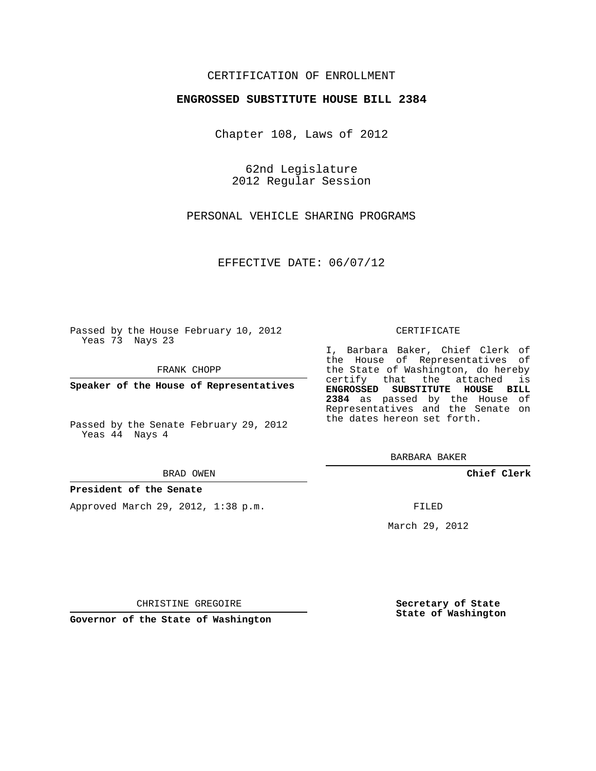## CERTIFICATION OF ENROLLMENT

### **ENGROSSED SUBSTITUTE HOUSE BILL 2384**

Chapter 108, Laws of 2012

62nd Legislature 2012 Regular Session

PERSONAL VEHICLE SHARING PROGRAMS

EFFECTIVE DATE: 06/07/12

Passed by the House February 10, 2012 Yeas 73 Nays 23

FRANK CHOPP

**Speaker of the House of Representatives**

Passed by the Senate February 29, 2012 Yeas 44 Nays 4

#### **President of the Senate**

Approved March 29, 2012, 1:38 p.m.

#### CERTIFICATE

I, Barbara Baker, Chief Clerk of the House of Representatives of the State of Washington, do hereby certify that the attached is **ENGROSSED SUBSTITUTE HOUSE BILL 2384** as passed by the House of Representatives and the Senate on the dates hereon set forth.

BARBARA BAKER

**Chief Clerk**

FILED

March 29, 2012

CHRISTINE GREGOIRE

**Secretary of State State of Washington**

**Governor of the State of Washington**

# BRAD OWEN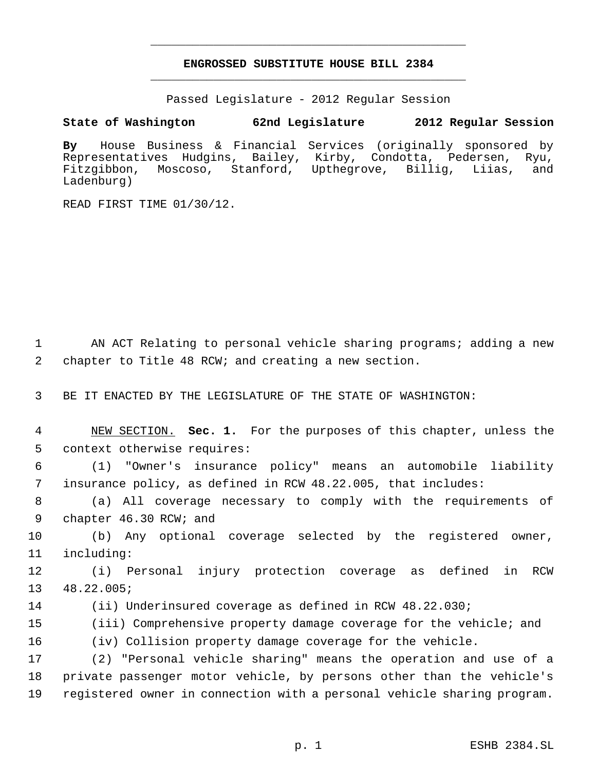# **ENGROSSED SUBSTITUTE HOUSE BILL 2384** \_\_\_\_\_\_\_\_\_\_\_\_\_\_\_\_\_\_\_\_\_\_\_\_\_\_\_\_\_\_\_\_\_\_\_\_\_\_\_\_\_\_\_\_\_

\_\_\_\_\_\_\_\_\_\_\_\_\_\_\_\_\_\_\_\_\_\_\_\_\_\_\_\_\_\_\_\_\_\_\_\_\_\_\_\_\_\_\_\_\_

Passed Legislature - 2012 Regular Session

## **State of Washington 62nd Legislature 2012 Regular Session**

**By** House Business & Financial Services (originally sponsored by Representatives Hudgins, Bailey, Kirby, Condotta, Pedersen, Ryu, Fitzgibbon, Moscoso, Stanford, Upthegrove, Billig, Liias, and Ladenburg)

READ FIRST TIME 01/30/12.

1 AN ACT Relating to personal vehicle sharing programs; adding a new 2 chapter to Title 48 RCW; and creating a new section.

3 BE IT ENACTED BY THE LEGISLATURE OF THE STATE OF WASHINGTON:

 4 NEW SECTION. **Sec. 1.** For the purposes of this chapter, unless the 5 context otherwise requires:

 6 (1) "Owner's insurance policy" means an automobile liability 7 insurance policy, as defined in RCW 48.22.005, that includes:

 8 (a) All coverage necessary to comply with the requirements of 9 chapter 46.30 RCW; and

10 (b) Any optional coverage selected by the registered owner, 11 including:

12 (i) Personal injury protection coverage as defined in RCW 13 48.22.005;

14 (ii) Underinsured coverage as defined in RCW 48.22.030;

15 (iii) Comprehensive property damage coverage for the vehicle; and

16 (iv) Collision property damage coverage for the vehicle.

17 (2) "Personal vehicle sharing" means the operation and use of a 18 private passenger motor vehicle, by persons other than the vehicle's 19 registered owner in connection with a personal vehicle sharing program.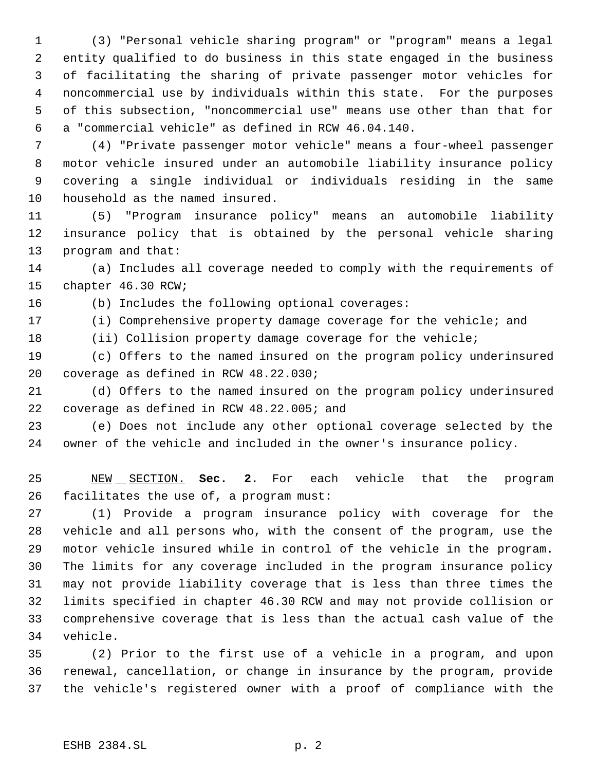(3) "Personal vehicle sharing program" or "program" means a legal entity qualified to do business in this state engaged in the business of facilitating the sharing of private passenger motor vehicles for noncommercial use by individuals within this state. For the purposes of this subsection, "noncommercial use" means use other than that for a "commercial vehicle" as defined in RCW 46.04.140.

 (4) "Private passenger motor vehicle" means a four-wheel passenger motor vehicle insured under an automobile liability insurance policy covering a single individual or individuals residing in the same household as the named insured.

 (5) "Program insurance policy" means an automobile liability insurance policy that is obtained by the personal vehicle sharing program and that:

 (a) Includes all coverage needed to comply with the requirements of chapter 46.30 RCW;

(b) Includes the following optional coverages:

(i) Comprehensive property damage coverage for the vehicle; and

(ii) Collision property damage coverage for the vehicle;

 (c) Offers to the named insured on the program policy underinsured coverage as defined in RCW 48.22.030;

 (d) Offers to the named insured on the program policy underinsured coverage as defined in RCW 48.22.005; and

 (e) Does not include any other optional coverage selected by the owner of the vehicle and included in the owner's insurance policy.

 NEW SECTION. **Sec. 2.** For each vehicle that the program facilitates the use of, a program must:

 (1) Provide a program insurance policy with coverage for the vehicle and all persons who, with the consent of the program, use the motor vehicle insured while in control of the vehicle in the program. The limits for any coverage included in the program insurance policy may not provide liability coverage that is less than three times the limits specified in chapter 46.30 RCW and may not provide collision or comprehensive coverage that is less than the actual cash value of the vehicle.

 (2) Prior to the first use of a vehicle in a program, and upon renewal, cancellation, or change in insurance by the program, provide the vehicle's registered owner with a proof of compliance with the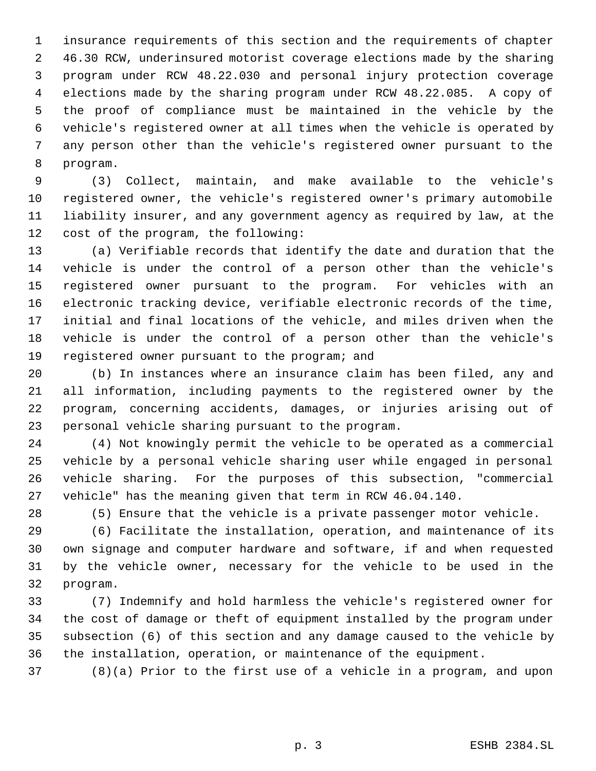insurance requirements of this section and the requirements of chapter 46.30 RCW, underinsured motorist coverage elections made by the sharing program under RCW 48.22.030 and personal injury protection coverage elections made by the sharing program under RCW 48.22.085. A copy of the proof of compliance must be maintained in the vehicle by the vehicle's registered owner at all times when the vehicle is operated by any person other than the vehicle's registered owner pursuant to the program.

 (3) Collect, maintain, and make available to the vehicle's registered owner, the vehicle's registered owner's primary automobile liability insurer, and any government agency as required by law, at the cost of the program, the following:

 (a) Verifiable records that identify the date and duration that the vehicle is under the control of a person other than the vehicle's registered owner pursuant to the program. For vehicles with an electronic tracking device, verifiable electronic records of the time, initial and final locations of the vehicle, and miles driven when the vehicle is under the control of a person other than the vehicle's registered owner pursuant to the program; and

 (b) In instances where an insurance claim has been filed, any and all information, including payments to the registered owner by the program, concerning accidents, damages, or injuries arising out of personal vehicle sharing pursuant to the program.

 (4) Not knowingly permit the vehicle to be operated as a commercial vehicle by a personal vehicle sharing user while engaged in personal vehicle sharing. For the purposes of this subsection, "commercial vehicle" has the meaning given that term in RCW 46.04.140.

(5) Ensure that the vehicle is a private passenger motor vehicle.

 (6) Facilitate the installation, operation, and maintenance of its own signage and computer hardware and software, if and when requested by the vehicle owner, necessary for the vehicle to be used in the program.

 (7) Indemnify and hold harmless the vehicle's registered owner for the cost of damage or theft of equipment installed by the program under subsection (6) of this section and any damage caused to the vehicle by the installation, operation, or maintenance of the equipment.

(8)(a) Prior to the first use of a vehicle in a program, and upon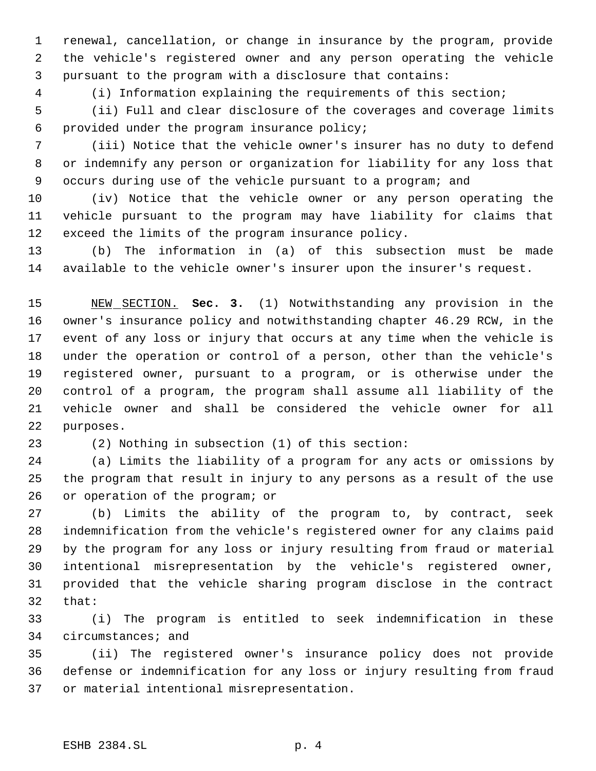renewal, cancellation, or change in insurance by the program, provide the vehicle's registered owner and any person operating the vehicle pursuant to the program with a disclosure that contains:

(i) Information explaining the requirements of this section;

 (ii) Full and clear disclosure of the coverages and coverage limits provided under the program insurance policy;

 (iii) Notice that the vehicle owner's insurer has no duty to defend or indemnify any person or organization for liability for any loss that occurs during use of the vehicle pursuant to a program; and

 (iv) Notice that the vehicle owner or any person operating the vehicle pursuant to the program may have liability for claims that exceed the limits of the program insurance policy.

 (b) The information in (a) of this subsection must be made available to the vehicle owner's insurer upon the insurer's request.

 NEW SECTION. **Sec. 3.** (1) Notwithstanding any provision in the owner's insurance policy and notwithstanding chapter 46.29 RCW, in the event of any loss or injury that occurs at any time when the vehicle is under the operation or control of a person, other than the vehicle's registered owner, pursuant to a program, or is otherwise under the control of a program, the program shall assume all liability of the vehicle owner and shall be considered the vehicle owner for all purposes.

(2) Nothing in subsection (1) of this section:

 (a) Limits the liability of a program for any acts or omissions by the program that result in injury to any persons as a result of the use or operation of the program; or

 (b) Limits the ability of the program to, by contract, seek indemnification from the vehicle's registered owner for any claims paid by the program for any loss or injury resulting from fraud or material intentional misrepresentation by the vehicle's registered owner, provided that the vehicle sharing program disclose in the contract that:

 (i) The program is entitled to seek indemnification in these circumstances; and

 (ii) The registered owner's insurance policy does not provide defense or indemnification for any loss or injury resulting from fraud or material intentional misrepresentation.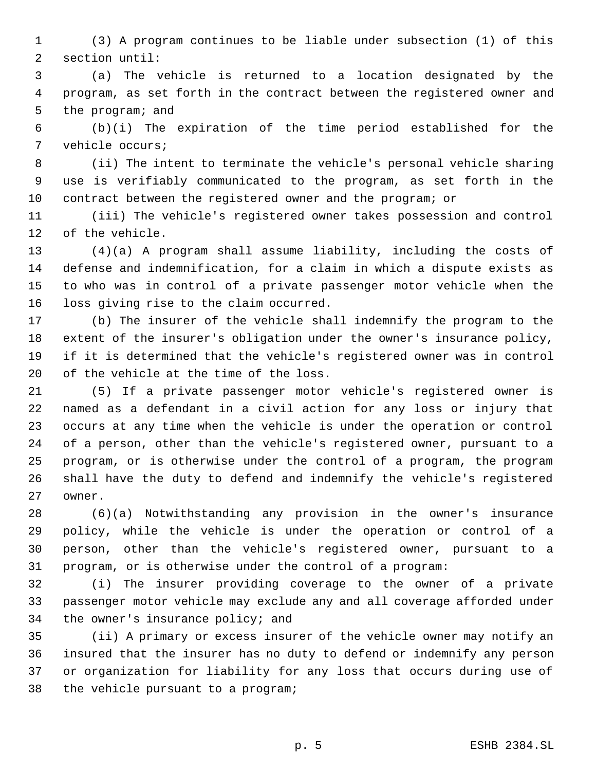(3) A program continues to be liable under subsection (1) of this section until:

 (a) The vehicle is returned to a location designated by the program, as set forth in the contract between the registered owner and the program; and

 (b)(i) The expiration of the time period established for the vehicle occurs;

 (ii) The intent to terminate the vehicle's personal vehicle sharing use is verifiably communicated to the program, as set forth in the contract between the registered owner and the program; or

 (iii) The vehicle's registered owner takes possession and control of the vehicle.

 (4)(a) A program shall assume liability, including the costs of defense and indemnification, for a claim in which a dispute exists as to who was in control of a private passenger motor vehicle when the loss giving rise to the claim occurred.

 (b) The insurer of the vehicle shall indemnify the program to the extent of the insurer's obligation under the owner's insurance policy, if it is determined that the vehicle's registered owner was in control of the vehicle at the time of the loss.

 (5) If a private passenger motor vehicle's registered owner is named as a defendant in a civil action for any loss or injury that occurs at any time when the vehicle is under the operation or control of a person, other than the vehicle's registered owner, pursuant to a program, or is otherwise under the control of a program, the program shall have the duty to defend and indemnify the vehicle's registered owner.

 (6)(a) Notwithstanding any provision in the owner's insurance policy, while the vehicle is under the operation or control of a person, other than the vehicle's registered owner, pursuant to a program, or is otherwise under the control of a program:

 (i) The insurer providing coverage to the owner of a private passenger motor vehicle may exclude any and all coverage afforded under the owner's insurance policy; and

 (ii) A primary or excess insurer of the vehicle owner may notify an insured that the insurer has no duty to defend or indemnify any person or organization for liability for any loss that occurs during use of the vehicle pursuant to a program;